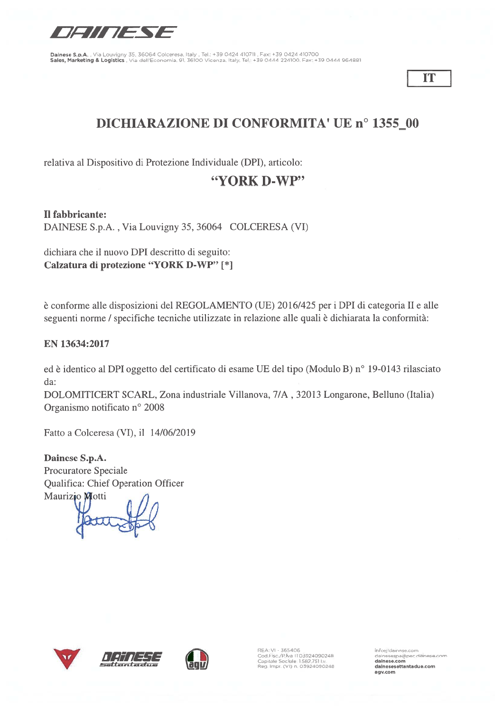

IT

# **DICHIARAZIONE DI CONFORMITA' UE nº 1355\_00**

relativa al Dispositivo di Protezione Individuale (DPI), articolo:

## "YORK D-WP"

Il fabbricante: DAINESE S.p.A., Via Louvigny 35, 36064 COLCERESA (VI)

dichiara che il nuovo DPI descritto di seguito: Calzatura di protezione "YORK D-WP" [\*]

è conforme alle disposizioni del REGOLAMENTO (UE) 2016/425 per i DPI di categoria II e alle seguenti norme / specifiche tecniche utilizzate in relazione alle quali è dichiarata la conformità:

#### EN 13634:2017

ed è identico al DPI oggetto del certificato di esame UE del tipo (Modulo B) nº 19-0143 rilasciato da:

DOLOMITICERT SCARL, Zona industriale Villanova, 7/A, 32013 Longarone, Belluno (Italia) Organismo notificato nº 2008

Fatto a Colceresa (VI), il 14/06/2019

Dainese S.p.A. Procuratore Speciale Qualifica: Chief Operation Officer Maurizio Motti







REA: VI - 365406<br>Cod.Fisc./P.Iva ITO3924090248<br>Capitale Sociale 1582.751 I.v.<br>Reg. Impr. (VI) n. 03924090248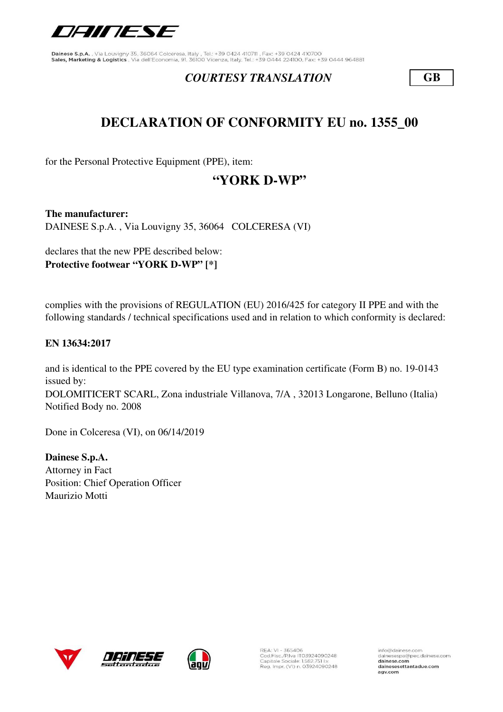

### *COURTESY TRANSLATION* **GB**

## **DECLARATION OF CONFORMITY EU no. 1355\_00**

for the Personal Protective Equipment (PPE), item:

## **"YORK D-WP"**

**The manufacturer:** DAINESE S.p.A. , Via Louvigny 35, 36064 COLCERESA (VI)

declares that the new PPE described below: **Protective footwear "YORK D-WP" [\*]**

complies with the provisions of REGULATION (EU) 2016/425 for category II PPE and with the following standards / technical specifications used and in relation to which conformity is declared:

#### **EN 13634:2017**

DOLOMITICERT SCARL, Zona industriale Villanova, 7/A , 32013 Longarone, Belluno (Italia) Notified Body no. 2008 and is identical to the PPE covered by the EU type examination certificate (Form B) no. 19-0143 issued by:

Done in Colceresa (VI), on 06/14/2019

**Dainese S.p.A.** Attorney in Fact Position: Chief Operation Officer Maurizio Motti







REA: VI - 365406<br>Cod.Fisc./P.Iva IT03924090248<br>Capitale Sociale: 1.582.751 I.v. Reg. Impr. (VI) n. 03924090248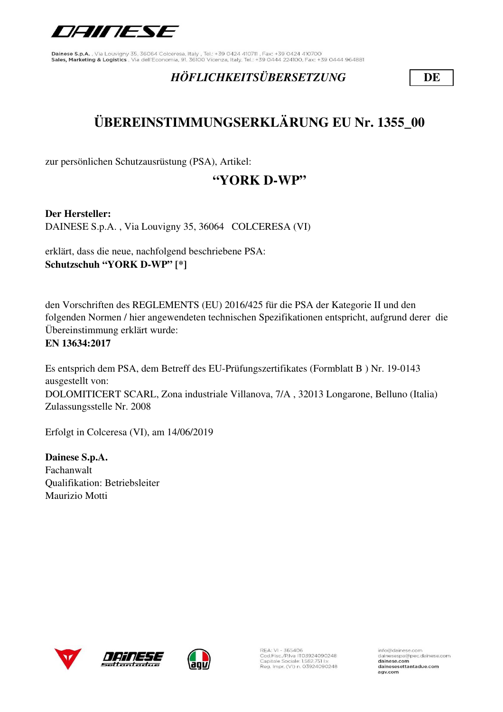

## *HÖFLICHKEITSÜBERSETZUNG* **DE**

# **ÜBEREINSTIMMUNGSERKLÄRUNG EU Nr. 1355\_00**

zur persönlichen Schutzausrüstung (PSA), Artikel:

## **"YORK D-WP"**

**Der Hersteller:**

DAINESE S.p.A. , Via Louvigny 35, 36064 COLCERESA (VI)

erklärt, dass die neue, nachfolgend beschriebene PSA: **Schutzschuh "YORK D-WP" [\*]**

den Vorschriften des REGLEMENTS (EU) 2016/425 für die PSA der Kategorie II und den folgenden Normen / hier angewendeten technischen Spezifikationen entspricht, aufgrund derer die Übereinstimmung erklärt wurde: **EN 13634:2017**

Es entsprich dem PSA, dem Betreff des EU-Prüfungszertifikates (Formblatt B ) Nr. 19-0143 ausgestellt von: DOLOMITICERT SCARL, Zona industriale Villanova, 7/A , 32013 Longarone, Belluno (Italia) Zulassungsstelle Nr. 2008

Erfolgt in Colceresa (VI), am 14/06/2019

**Dainese S.p.A.** Fachanwalt Qualifikation: Betriebsleiter Maurizio Motti







REA: VI - 365406<br>Cod.Fisc./P.Iva IT03924090248<br>Capitale Sociale: 1.582.751 I.v. Reg. Impr. (VI) n. 03924090248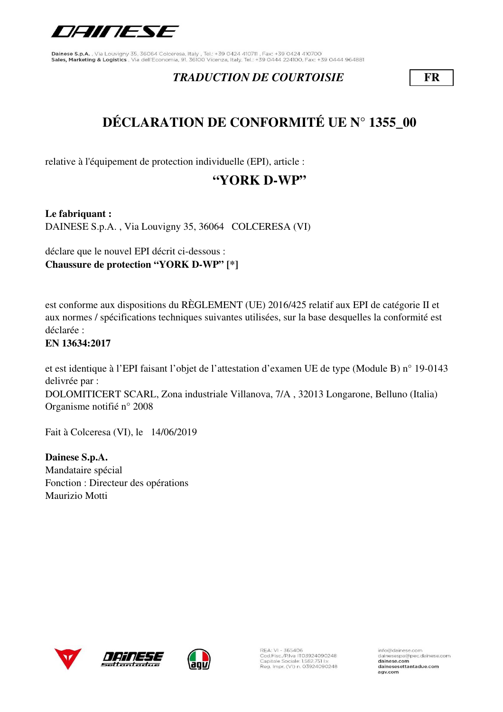

### *TRADUCTION DE COURTOISIE* **FR**

# **DÉCLARATION DE CONFORMITÉ UE N° 1355\_00**

relative à l'équipement de protection individuelle (EPI), article :

## **"YORK D-WP"**

**Le fabriquant :** DAINESE S.p.A. , Via Louvigny 35, 36064 COLCERESA (VI)

déclare que le nouvel EPI décrit ci-dessous : **Chaussure de protection "YORK D-WP" [\*]**

est conforme aux dispositions du RÈGLEMENT (UE) 2016/425 relatif aux EPI de catégorie II et aux normes / spécifications techniques suivantes utilisées, sur la base desquelles la conformité est déclarée :

### **EN 13634:2017**

et est identique à l'EPI faisant l'objet de l'attestation d'examen UE de type (Module B) n° 19-0143 delivrée par :

DOLOMITICERT SCARL, Zona industriale Villanova, 7/A , 32013 Longarone, Belluno (Italia) Organisme notifié n° 2008

Fait à Colceresa (VI), le 14/06/2019

**Dainese S.p.A.** Mandataire spécial Fonction : Directeur des opérations Maurizio Motti







REA: VI - 365406<br>Cod.Fisc./P.Iva IT03924090248<br>Capitale Sociale: 1.582.751 I.v. Reg. Impr. (VI) n. 03924090248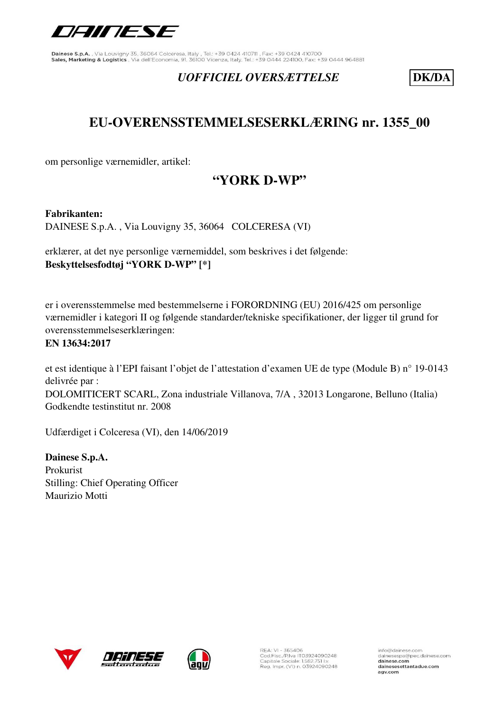

### *UOFFICIEL OVERSÆTTELSE* **DK/DA**

## **EU-OVERENSSTEMMELSESERKLÆRING nr. 1355\_00**

om personlige værnemidler, artikel:

## **"YORK D-WP"**

**Fabrikanten:** 

DAINESE S.p.A. , Via Louvigny 35, 36064 COLCERESA (VI)

erklærer, at det nye personlige værnemiddel, som beskrives i det følgende: **Beskyttelsesfodtøj "YORK D-WP" [\*]**

er i overensstemmelse med bestemmelserne i FORORDNING (EU) 2016/425 om personlige værnemidler i kategori II og følgende standarder/tekniske specifikationer, der ligger til grund for overensstemmelseserklæringen:

#### **EN 13634:2017**

et est identique à l'EPI faisant l'objet de l'attestation d'examen UE de type (Module B) n° 19-0143 delivrée par : DOLOMITICERT SCARL, Zona industriale Villanova, 7/A , 32013 Longarone, Belluno (Italia) Godkendte testinstitut nr. 2008

Udfærdiget i Colceresa (VI), den 14/06/2019

**Dainese S.p.A.** Prokurist Stilling: Chief Operating Officer Maurizio Motti







REA: VI - 365406<br>Cod.Fisc./P.Iva IT03924090248<br>Capitale Sociale: 1.582.751 I.v. Reg. Impr. (VI) n. 03924090248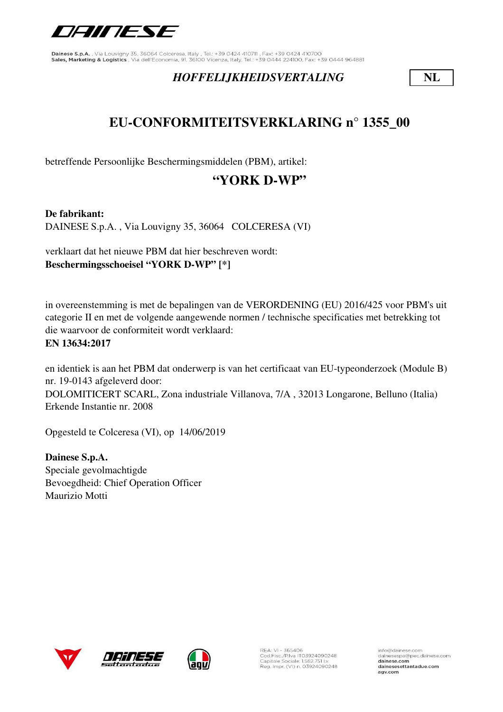

### *HOFFELIJKHEIDSVERTALING* **NL**

## **EU-CONFORMITEITSVERKLARING n° 1355\_00**

betreffende Persoonlijke Beschermingsmiddelen (PBM), artikel:

## **"YORK D-WP"**

**De fabrikant:** DAINESE S.p.A. , Via Louvigny 35, 36064 COLCERESA (VI)

verklaart dat het nieuwe PBM dat hier beschreven wordt: **Beschermingsschoeisel "YORK D-WP" [\*]**

in overeenstemming is met de bepalingen van de VERORDENING (EU) 2016/425 voor PBM's uit categorie II en met de volgende aangewende normen / technische specificaties met betrekking tot die waarvoor de conformiteit wordt verklaard: **EN 13634:2017**

en identiek is aan het PBM dat onderwerp is van het certificaat van EU-typeonderzoek (Module B) nr. 19-0143 afgeleverd door: DOLOMITICERT SCARL, Zona industriale Villanova, 7/A , 32013 Longarone, Belluno (Italia) Erkende Instantie nr. 2008

Opgesteld te Colceresa (VI), op 14/06/2019

**Dainese S.p.A.** Speciale gevolmachtigde Bevoegdheid: Chief Operation Officer Maurizio Motti





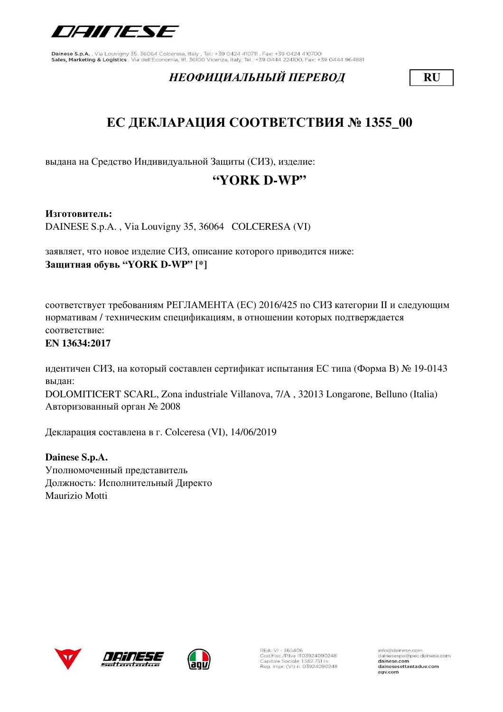

## *НЕОФИЦИАЛЬНЫЙ ПЕРЕВОД* **RU**

# **ЕС ДЕКЛАРАЦИЯ СООТВЕТСТВИЯ № 1355\_00**

выдана на Средство Индивидуальной Защиты (СИЗ), изделие:

## **"YORK D-WP"**

**Изготовитель:**

DAINESE S.p.A. , Via Louvigny 35, 36064 COLCERESA (VI)

заявляет, что новое изделие СИЗ, описание которого приводится ниже: **Защитная обувь "YORK D-WP" [\*]**

соответствует требованиям РЕГЛАМЕНТА (ЕС) 2016/425 по СИЗ категории II и следующим нормативам / техническим спецификациям, в отношении которых подтверждается соответствие:

#### **EN 13634:2017**

идентичен СИЗ, на который составлен сертификат испытания ЕС типа (Форма В) № 19-0143 выдан:

DOLOMITICERT SCARL, Zona industriale Villanova, 7/A , 32013 Longarone, Belluno (Italia) Авторизованный орган № 2008

Декларация составлена в г. Colceresa (VI), 14/06/2019

**Dainese S.p.A.** Уполномоченный представитель Должность: Исполнительный Директо Maurizio Motti





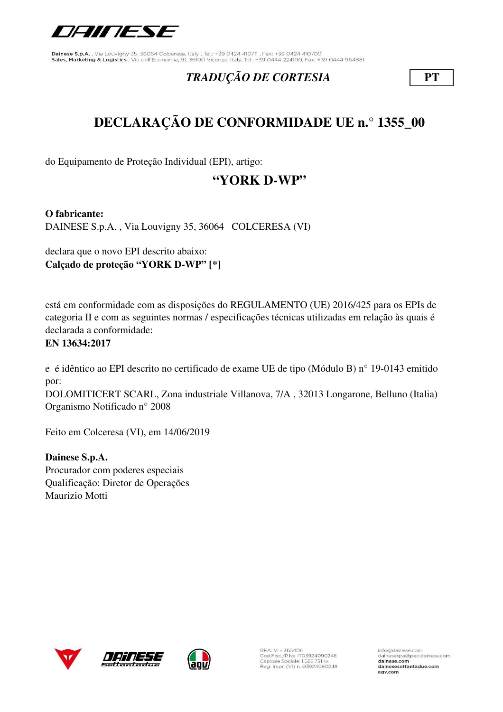

## *TRADUÇÃO DE CORTESIA* **PT**

# **DECLARAÇÃO DE CONFORMIDADE UE n.° 1355\_00**

do Equipamento de Proteção Individual (EPI), artigo:

## **"YORK D-WP"**

**O fabricante:**

DAINESE S.p.A. , Via Louvigny 35, 36064 COLCERESA (VI)

declara que o novo EPI descrito abaixo: **Calçado de proteção "YORK D-WP" [\*]**

está em conformidade com as disposições do REGULAMENTO (UE) 2016/425 para os EPIs de categoria II e com as seguintes normas / especificações técnicas utilizadas em relação às quais é declarada a conformidade:

### **EN 13634:2017**

e é idêntico ao EPI descrito no certificado de exame UE de tipo (Módulo B) n° 19-0143 emitido por:

DOLOMITICERT SCARL, Zona industriale Villanova, 7/A , 32013 Longarone, Belluno (Italia) Organismo Notificado n° 2008

Feito em Colceresa (VI), em 14/06/2019

**Dainese S.p.A.** Procurador com poderes especiais Qualificação: Diretor de Operações Maurizio Motti





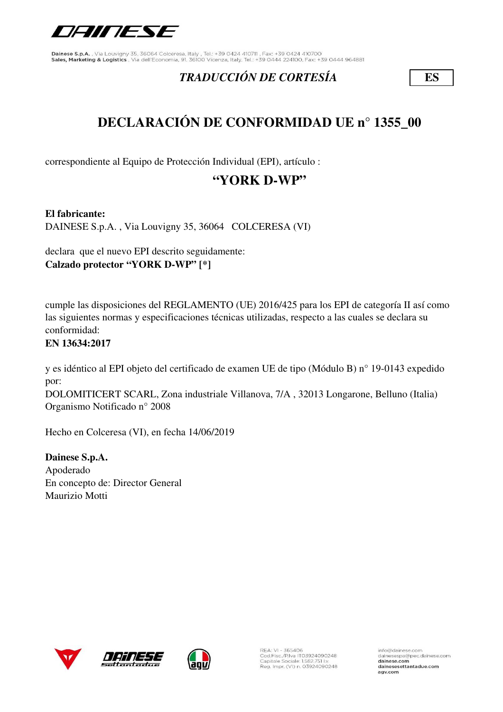

## *TRADUCCIÓN DE CORTESÍA* **ES**

# **DECLARACIÓN DE CONFORMIDAD UE n° 1355\_00**

correspondiente al Equipo de Protección Individual (EPI), artículo :

## **"YORK D-WP"**

**El fabricante:**

DAINESE S.p.A. , Via Louvigny 35, 36064 COLCERESA (VI)

declara que el nuevo EPI descrito seguidamente: **Calzado protector "YORK D-WP" [\*]**

cumple las disposiciones del REGLAMENTO (UE) 2016/425 para los EPI de categoría II así como las siguientes normas y especificaciones técnicas utilizadas, respecto a las cuales se declara su conformidad:

### **EN 13634:2017**

y es idéntico al EPI objeto del certificado de examen UE de tipo (Módulo B) n° 19-0143 expedido por:

DOLOMITICERT SCARL, Zona industriale Villanova, 7/A , 32013 Longarone, Belluno (Italia) Organismo Notificado n° 2008

Hecho en Colceresa (VI), en fecha 14/06/2019

**Dainese S.p.A.** Apoderado En concepto de: Director General Maurizio Motti





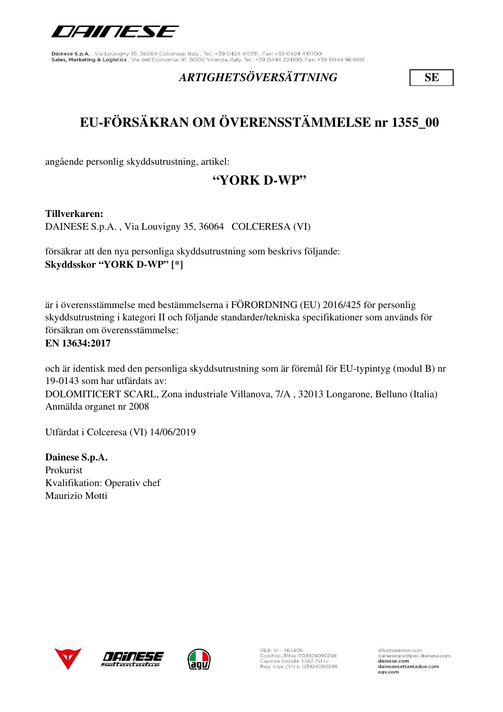

## *ARTIGHETSÖVERSÄTTNING* **SE**

# **EU-FÖRSÄKRAN OM ÖVERENSSTÄMMELSE nr 1355\_00**

angående personlig skyddsutrustning, artikel:

## **"YORK D-WP"**

**Tillverkaren:** 

DAINESE S.p.A. , Via Louvigny 35, 36064 COLCERESA (VI)

försäkrar att den nya personliga skyddsutrustning som beskrivs följande: **Skyddsskor "YORK D-WP" [\*]**

är i överensstämmelse med bestämmelserna i FÖRORDNING (EU) 2016/425 för personlig skyddsutrustning i kategori II och följande standarder/tekniska specifikationer som används för försäkran om överensstämmelse:

### **EN 13634:2017**

och är identisk med den personliga skyddsutrustning som är föremål för EU-typintyg (modul B) nr 19-0143 som har utfärdats av: DOLOMITICERT SCARL, Zona industriale Villanova, 7/A , 32013 Longarone, Belluno (Italia) Anmälda organet nr 2008

Utfärdat i Colceresa (VI) 14/06/2019

**Dainese S.p.A.** Prokurist Kvalifikation: Operativ chef Maurizio Motti







REA: VI - 365406<br>Cod.Fisc./P.Iva IT03924090248<br>Capitale Sociale: 1.582.751 Lv. Reg. Impr. (VI) n. 03924090248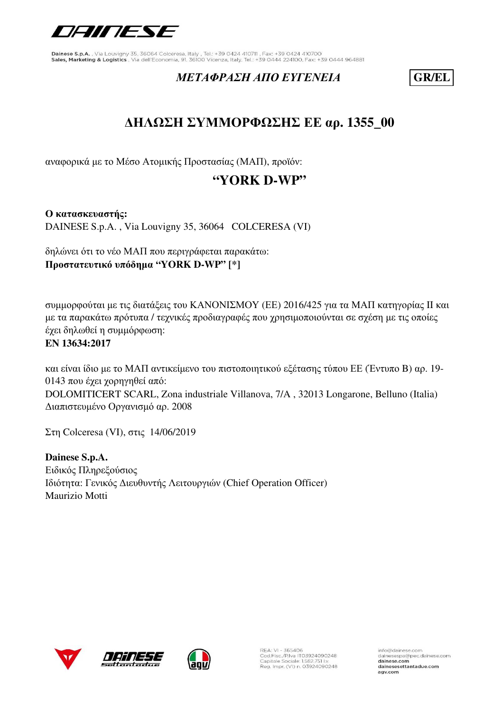

### *ΜΕΤΑΦΡΑΣΗ ΑΠΟ ΕΥΓΕΝΕΙΑ* **GR/EL**

## **ΔΗΛΩΣΗ ΣΥΜΜΟΡΦΩΣΗΣ ΕΕ αρ. 1355\_00**

αναφορικά με το Μέσο Ατομικής Προστασίας (ΜΑΠ), προϊόν:

## **"YORK D-WP"**

**Ο κατασκευαστής:** DAINESE S.p.A. , Via Louvigny 35, 36064 COLCERESA (VI)

δηλώνει ότι το νέο ΜΑΠ που περιγράφεται παρακάτω: **Προστατευτικό υπόδημα "YORK D-WP" [\*]**

συμμορφούται με τις διατάξεις του ΚΑΝΟΝΙΣΜΟΥ (ΕΕ) 2016/425 για τα ΜΑΠ κατηγορίας II και με τα παρακάτω πρότυπα / τεχνικές προδιαγραφές που χρησιμοποιούνται σε σχέση με τις οποίες έχει δηλωθεί η συμμόρφωση:

### **EN 13634:2017**

και είναι ίδιο με το ΜΑΠ αντικείμενο του πιστοποιητικού εξέτασης τύπου ΕΕ (Έντυπο B) αρ. 19- 0143 που έχει χορηγηθεί από: DOLOMITICERT SCARL, Zona industriale Villanova, 7/A , 32013 Longarone, Belluno (Italia) Διαπιστευμένο Οργανισμό αρ. 2008

Στη Colceresa (VI), στις 14/06/2019

**Dainese S.p.A.** Ειδικός Πληρεξούσιος Ιδιότητα: Γενικός Διευθυντής Λειτουργιών (Chief Operation Officer) Maurizio Motti







REA: VI - 365406<br>Cod.Fisc./P.Iva IT03924090248<br>Capitale Sociale: 1.582.751 Lv. Reg. Impr. (VI) n. 03924090248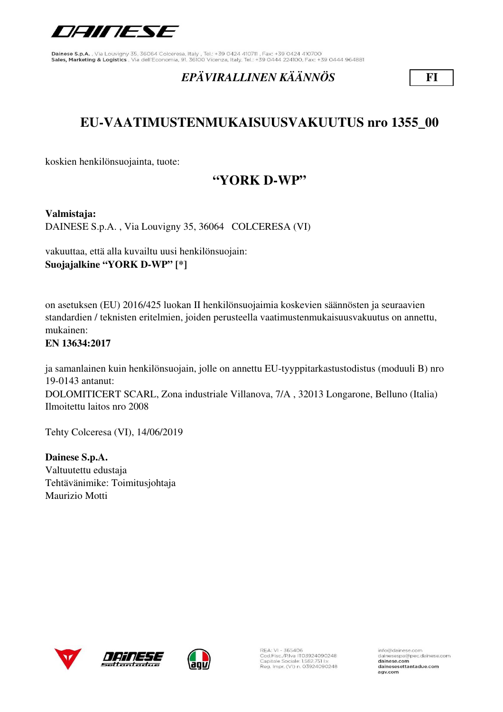

## *EPÄVIRALLINEN KÄÄNNÖS* **FI**

## **EU-VAATIMUSTENMUKAISUUSVAKUUTUS nro 1355\_00**

koskien henkilönsuojainta, tuote:

## **"YORK D-WP"**

**Valmistaja:** 

DAINESE S.p.A. , Via Louvigny 35, 36064 COLCERESA (VI)

vakuuttaa, että alla kuvailtu uusi henkilönsuojain: **Suojajalkine "YORK D-WP" [\*]**

on asetuksen (EU) 2016/425 luokan II henkilönsuojaimia koskevien säännösten ja seuraavien standardien / teknisten eritelmien, joiden perusteella vaatimustenmukaisuusvakuutus on annettu, mukainen:

#### **EN 13634:2017**

ja samanlainen kuin henkilönsuojain, jolle on annettu EU-tyyppitarkastustodistus (moduuli B) nro 19-0143 antanut: DOLOMITICERT SCARL, Zona industriale Villanova, 7/A , 32013 Longarone, Belluno (Italia) Ilmoitettu laitos nro 2008

Tehty Colceresa (VI), 14/06/2019

**Dainese S.p.A.** Valtuutettu edustaja Tehtävänimike: Toimitusjohtaja Maurizio Motti







REA: VI - 365406<br>Cod.Fisc./P.Iva IT03924090248<br>Capitale Sociale: 1.582.751 I.v. Reg. Impr. (VI) n. 03924090248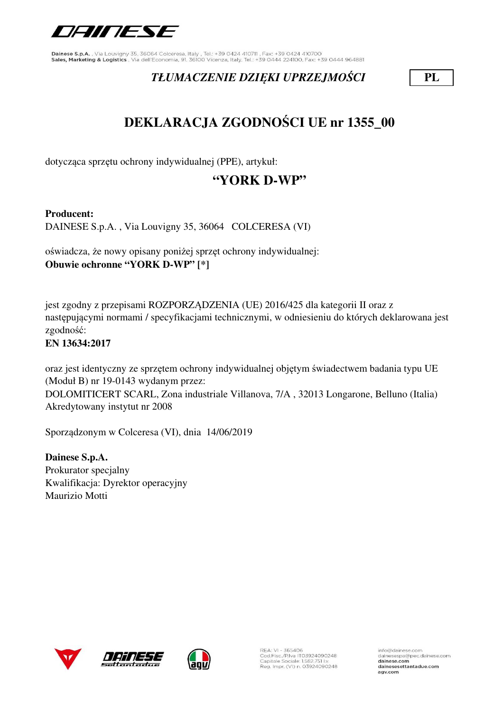

## *TŁUMACZENIE DZIĘKI UPRZEJMOŚCI* **PL**

# **DEKLARACJA ZGODNOŚCI UE nr 1355\_00**

dotycząca sprzętu ochrony indywidualnej (PPE), artykuł:

## **"YORK D-WP"**

### **Producent:**

DAINESE S.p.A. , Via Louvigny 35, 36064 COLCERESA (VI)

oświadcza, że nowy opisany poniżej sprzęt ochrony indywidualnej: **Obuwie ochronne "YORK D-WP" [\*]**

jest zgodny z przepisami ROZPORZĄDZENIA (UE) 2016/425 dla kategorii II oraz z następującymi normami / specyfikacjami technicznymi, w odniesieniu do których deklarowana jest zgodność:

### **EN 13634:2017**

oraz jest identyczny ze sprzętem ochrony indywidualnej objętym świadectwem badania typu UE (Moduł B) nr 19-0143 wydanym przez:

DOLOMITICERT SCARL, Zona industriale Villanova, 7/A , 32013 Longarone, Belluno (Italia) Akredytowany instytut nr 2008

Sporządzonym w Colceresa (VI), dnia 14/06/2019

**Dainese S.p.A.** Prokurator specjalny Kwalifikacja: Dyrektor operacyjny Maurizio Motti





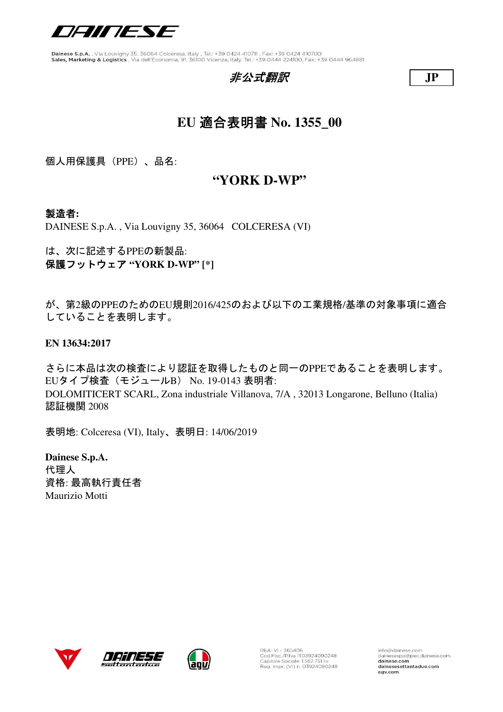

### 非公式翻訳 **JP**



## **EU** 適合表明書 **No. 1355\_00**

個人用保護具(PPE)、品名:

### **"YORK D-WP"**

### 製造者**:**

DAINESE S.p.A. , Via Louvigny 35, 36064 COLCERESA (VI)

は、次に記述するPPEの新製品: 保護フットウェア **"YORK D-WP" [\*]**

が、第2級のPPEのためのEU規則2016/425のおよび以下の工業規格/基準の対象事項に適合 していることを表明します。

**EN 13634:2017**

さらに本品は次の検査により認証を取得したものと同一のPPEであることを表明します。 EUタイプ検査(モジュールB) No. 19-0143 表明者: DOLOMITICERT SCARL, Zona industriale Villanova, 7/A , 32013 Longarone, Belluno (Italia) 認証機関 2008

表明地: Colceresa (VI), Italy、表明日: 14/06/2019

**Dainese S.p.A.** 代理人 資格: 最高執行責任者 Maurizio Motti





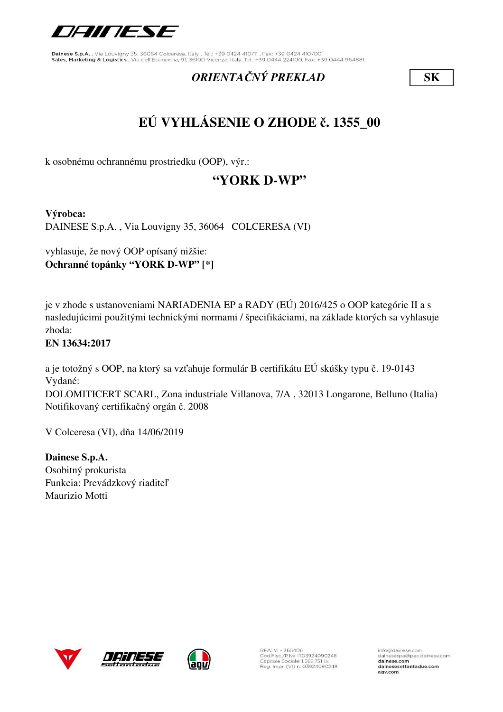

## *ORIENTAČNÝ PREKLAD* **SK**

# **EÚ VYHLÁSENIE O ZHODE č. 1355\_00**

k osobnému ochrannému prostriedku (OOP), výr.:

## **"YORK D-WP"**

**Výrobca:**

DAINESE S.p.A. , Via Louvigny 35, 36064 COLCERESA (VI)

vyhlasuje, že nový OOP opísaný nižšie: **Ochranné topánky "YORK D-WP" [\*]**

je v zhode s ustanoveniami NARIADENIA EP a RADY (EÚ) 2016/425 o OOP kategórie II a s nasledujúcimi použitými technickými normami / špecifikáciami, na základe ktorých sa vyhlasuje zhoda:

### **EN 13634:2017**

a je totožný s OOP, na ktorý sa vzťahuje formulár B certifikátu EÚ skúšky typu č. 19-0143 Vydané:

DOLOMITICERT SCARL, Zona industriale Villanova, 7/A , 32013 Longarone, Belluno (Italia) Notifikovaný certifikačný orgán č. 2008

V Colceresa (VI), dňa 14/06/2019

**Dainese S.p.A.** Osobitný prokurista Funkcia: Prevádzkový riaditeľ Maurizio Motti





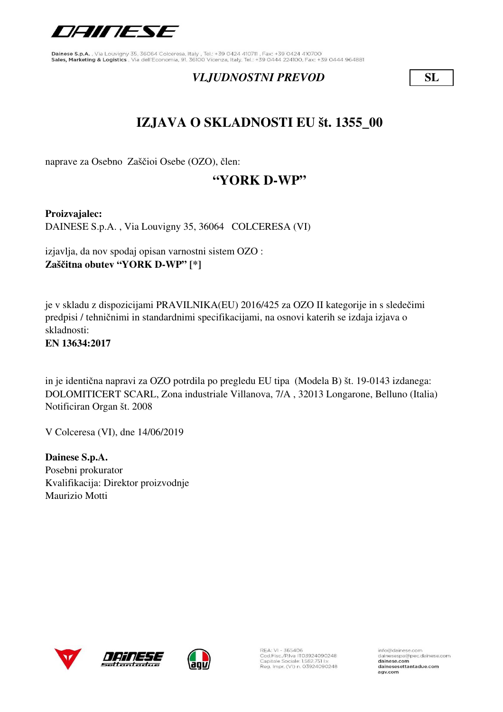

### *VLJUDNOSTNI PREVOD* **SL**

## **IZJAVA O SKLADNOSTI EU št. 1355\_00**

naprave za Osebno Zaščioi Osebe (OZO), člen:

## **"YORK D-WP"**

**Proizvajalec:** DAINESE S.p.A. , Via Louvigny 35, 36064 COLCERESA (VI)

izjavlja, da nov spodaj opisan varnostni sistem OZO : **Zaščitna obutev "YORK D-WP" [\*]**

je v skladu z dispozicijami PRAVILNIKA(EU) 2016/425 za OZO II kategorije in s sledečimi predpisi / tehničnimi in standardnimi specifikacijami, na osnovi katerih se izdaja izjava o skladnosti:

**EN 13634:2017**

in je identična napravi za OZO potrdila po pregledu EU tipa (Modela B) št. 19-0143 izdanega: DOLOMITICERT SCARL, Zona industriale Villanova, 7/A , 32013 Longarone, Belluno (Italia) Notificiran Organ št. 2008

V Colceresa (VI), dne 14/06/2019

**Dainese S.p.A.** Posebni prokurator Kvalifikacija: Direktor proizvodnje Maurizio Motti







REA: VI - 365406<br>Cod.Fisc./P.Iva IT03924090248<br>Capitale Sociale: 1.582.751 Lv. Reg. Impr. (VI) n. 03924090248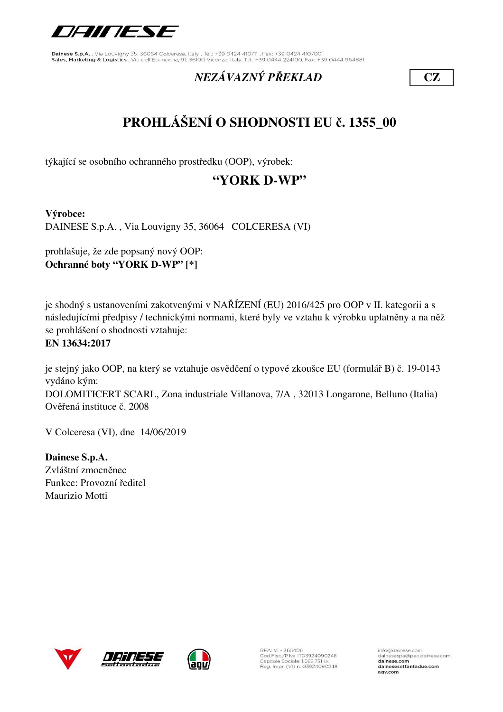

## *NEZÁVAZNÝ PŘEKLAD* **CZ**

# **PROHLÁŠENÍ O SHODNOSTI EU č. 1355\_00**

týkající se osobního ochranného prostředku (OOP), výrobek:

## **"YORK D-WP"**

**Výrobce:**

DAINESE S.p.A. , Via Louvigny 35, 36064 COLCERESA (VI)

prohlašuje, že zde popsaný nový OOP: **Ochranné boty "YORK D-WP" [\*]**

je shodný s ustanoveními zakotvenými v NAŘÍZENÍ (EU) 2016/425 pro OOP v II. kategorii a s následujícími předpisy / technickými normami, které byly ve vztahu k výrobku uplatněny a na něž se prohlášení o shodnosti vztahuje:

#### **EN 13634:2017**

je stejný jako OOP, na který se vztahuje osvědčení o typové zkoušce EU (formulář B) č. 19-0143 vydáno kým: DOLOMITICERT SCARL, Zona industriale Villanova, 7/A , 32013 Longarone, Belluno (Italia) Ověřená instituce č. 2008

V Colceresa (VI), dne 14/06/2019

**Dainese S.p.A.** Zvláštní zmocněnec Funkce: Provozní ředitel Maurizio Motti







REA: VI - 365406<br>Cod.Fisc./P.Iva IT03924090248<br>Capitale Sociale: 1.582.751 I.v. Reg. Impr. (VI) n. 03924090248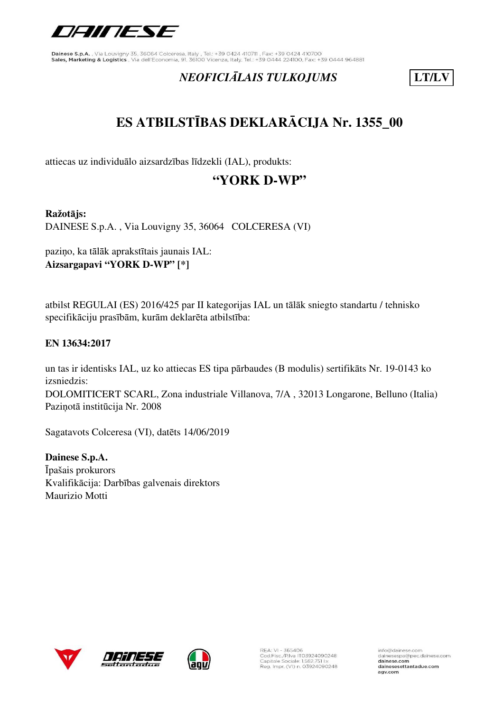

## *NEOFICIĀLAIS TULKOJUMS* **LT/LV**

# **ES ATBILSTĪBAS DEKLARĀCIJA Nr. 1355\_00**

attiecas uz individuālo aizsardzības līdzekli (IAL), produkts:

## **"YORK D-WP"**

#### **Ražotājs:**

DAINESE S.p.A. , Via Louvigny 35, 36064 COLCERESA (VI)

paziņo, ka tālāk aprakstītais jaunais IAL: **Aizsargapavi "YORK D-WP" [\*]**

atbilst REGULAI (ES) 2016/425 par II kategorijas IAL un tālāk sniegto standartu / tehnisko specifikāciju prasībām, kurām deklarēta atbilstība:

### **EN 13634:2017**

DOLOMITICERT SCARL, Zona industriale Villanova, 7/A , 32013 Longarone, Belluno (Italia) Paziņotā institūcija Nr. 2008 un tas ir identisks IAL, uz ko attiecas ES tipa pārbaudes (B modulis) sertifikāts Nr. 19-0143 ko izsniedzis:

Sagatavots Colceresa (VI), datēts 14/06/2019

**Dainese S.p.A.** Īpašais prokurors Kvalifikācija: Darbības galvenais direktors Maurizio Motti







REA: VI - 365406<br>Cod.Fisc./P.Iva IT03924090248<br>Capitale Sociale: 1.582.751 I.v. Reg. Impr. (VI) n. 03924090248